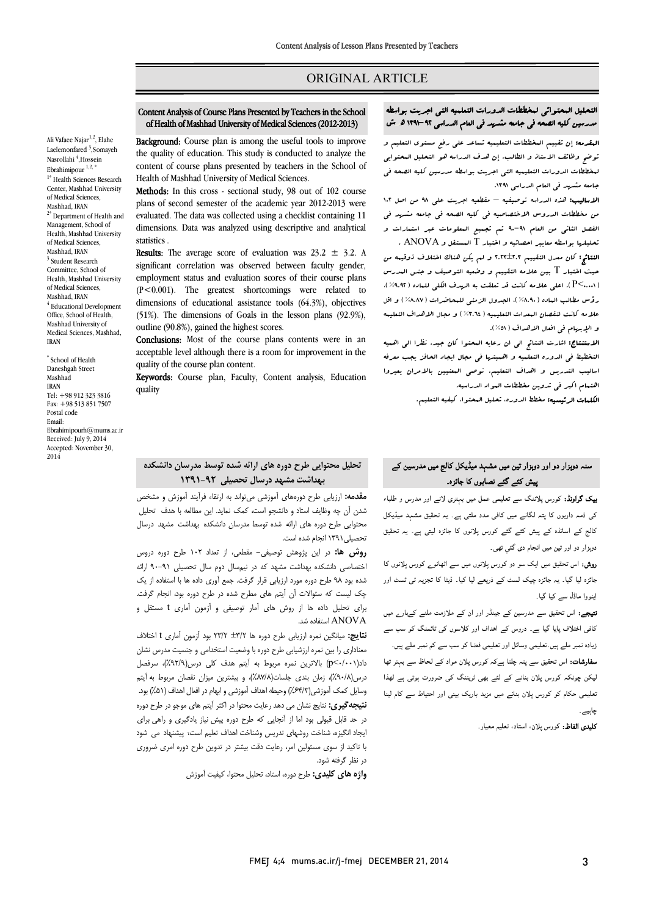# ORIGINAL ARTICLE

#### Content Analysis of Course Plans Presented by Teachers in the School of Health of Mashhad University of Medical Sciences (2012-2013)

Ī  $\overline{a}$ 

 Background: Course plan is among the useful tools to improve **EXAMPLE THE FOULD EXECUTE THE GENT THE GENT WORKSHARE THE QUALITY OF EDUCATION**. This study is conducted to analyze the content of course plans presented by teachers in the School of Health of Mashhad University of Medical Sciences.

Methods: In this cross - sectional study, 98 out of 102 course evaluated. The data was collected using a checklist containing 11 dimensions. Data was analyzed using descriptive and analytical plans of second semester of the academic year 2012-2013 were statistics .

significant correlation was observed between faculty gender,  $\frac{1}{2}$  employment status and evaluation scores of their course plans (P<0.001). The greatest shortcomings were related to dimensions of educational assistance tools (64.3%), objectives (51%). The dimensions of Goals in the lesson plans (92.9%), outline  $(90.8\%)$  guined the bighest scores **Results:** The average score of evaluation was  $23.2 \pm 3.2$ . A outline (90.8%), gained the highest scores.

Conclusions: Most of the course plans contents were in an acceptable level although there is a room for improvement in the  $\overline{a}$ quality of the course plan content.

**Keywords:** Course plan, Faculty, Content analysis, Education<br>quality quality

#### $\overline{a}$ التحلیل المحتوائی لمخططات الدورات التعلمیه التی اجریت بواسطه مدرسین کلیه الصحه فی جامعه مشهد فی العام الدراسی -92 1391 هدش

Ī  $\overline{a}$ 

 المقدمه: إن تقییم المخططات التعلیمیه تساعد علی رفع مستوي التعلیم و لوحو کاملک الرسد کی انقالیه، إن طلب الدرالة عو التعلیم المعلومی<br>لمخططات الدورات التعلیمیه التی اجریت بواسطه مدرسین کلیه الصحه فی جامعه مشهد فی العام الدراسی ۱۳۹۱.<br>جامعه مشهد فی العام الدراسی ۱۳۹۱. توضح وظائف الاستاذ و الطالب. إن هدف الدراسه هو التحلیل المحتوایی

د.<br>**الاسالیب:** هذه الدراسه توصیفیه – مقطعیه اجریت علی ۹۸ من اصل ۱۰۲ من مخططات الدروس الاختصاصیه فی کلیه الصحه فی جامعه مشهد فی الفصل الثانی من العام -91 90 تم تجمیع المعلومات عبر استمارات و تحلیلها بواسطه معاییر احصائیه و اختبار T المستقل و ANOVA .

 النتائج: کان معدل التقییم 2.23±2.3 و لم یکن هناك اختلاف ذوقیمه من حیث اختبار T بین علامه التقییم و وضعیه التوصیف و جنس المدرس (0.001>P(. اعلی علامه کانت قد تعلقت به الهدف الکلی للماده (%9.92)، رؤس مطالب الماده (%8.90)، الجدول الزمنی للمحاضرات (%8.87) و اقل و الإبهام فی افعال الاهداف ( ٥١٪).<br>و الإبهام فی افعال الاهداف ( ٥١٪). علامه کانت لنقصان المعدات التعلیمیه (%3.64) و مجال الاهداف التعلیمه

الاستند کست کسی الاستنتانی الی ان رعایه البحتوا کان جید. نظرا الی اهمیه<br>الاستنتایج: اشارت النتائج الی ان رعایه البحتوا کان جید. نظرا الی اهمیه التخطیط فی الدوره التعلمیه و اهمیتها فی مجال ایجاد الحافز یجب معرفه اسالیب التدریس و اهداف التعلیم. نوصی المعنیین بالامران یعیروا اهتمام اکبر فی تدوین مخططات المواد الدراسیه.

الکلمات الرئیسیه: مخطط الدوره، تحلیل المحتوا، کیفیه التعلیم.

# تحلیل محتوایی طرح دوره هاي ارائه شده توسط مدرسان دانشکده بهداشت مشهد درسال تحصیلی 1391-92

 مقدمه: ارزیابی طرح دورههاي آموزشی میتواند به ارتقاء فرآیند آموزش و مشخص شدن آن چه وظایف استاد و دانشجو است، کمک نماید. این مطالعه با هدف تحلیل محتوایی طرح دوره هاي ارائه شده توسط مدرسان دانشکده بهداشت مشهد درسال تحصیلی1391 انجام شده است.

**روش ها:** در این پژوهش توصیفی– مقطعی، از تعداد ۱۰۲ طرح دوره دروس<br>از بار مقابله کردن در این مقابل از تعداد است. سی به بود 98 صفح.<br>شده بود ۹۸ طرح دوره مورد ارزیابی قرار گرفت. جمع آوری داده ها با استفاده از یک چک لیست که سئوالات آن آیتم هاي مطرح شده در طرح دوره بود، انجام گرفت. براي تحلیل داده ها از روش هاي آمار توصیفی و آزمون آماري t مستقل و اختصاصی دانشکده بهداشت مشهد که در نیمسال دوم سال تحصیلی 90-91 ارائه ANOVA استفاده شد.

 نتایج: میانگین نمره ارزیابی طرح دوره ها ±3/2 23/2 بود آزمون آماري t اختلاف معناداري را بین نمره ارزشیابی طرح دوره با وضعیت استخدامی و جنسیت مدرس نشان داد( ۱۳۰۲-۱۳۰۳ ) با در ین نمره مربوط به اینم هدف نمی درس(۱۳۰۸)، سرفصل<br>درس(۹۰/۸)، زمان بندی جلسات(۸۷/۸)، و بیشترین میزان نقصان مربوط به آیتم وسایل کمک آموزشی(%64/3) وحیطه اهداف آموزشی و ابهام در افعال اهداف (%51) بود. نتیجهگیري: نتایج نشان می دهد رعایت محتوا در اکثر آیتم هاي موجو در طرح دوره در حد قابل قبولی بود اما از آنجایی که طرح دوره پیش نیاز یادگیري و راهی براي ایجاد انگیزه، شناخت روشهاي تدریس وشناخت اهداف تعلیم است، پیشنهاد می شود با تاکید از سوي مسئولین امر، رعایت دقت بیشتر در تدوین طرح دوره امري ضروري داد(0/001>p (بالاترین نمره مربوط به آیتم هدف کلی درس(%92/9)، سرفصل در نظر گرفته شود.

**واژه های کلیدی:** طرح دوره، استاد، تحلیل محتوا، کیفیت آموزش<br>.

# سنہ دوہزار دو اور دوہزار تین میں مشہد میڈیکل کالج میں مدرسین کے پیش کئے گئے نصابوں کا جائزہ۔

**یک گراونڈ:** کورس پلاننگ سے تعلیمی عمل میں بہتری لانے اور مدرس و طلباء <sub>کی</sub> ذمہ داریوں کا پتہ لگانے میں کافی مدد ملتی ہے۔ یہ تحقیق مشہد میڈیکل ۔<br>کالج کے اساتذہ کے پیش کئے گئے کورس پلانوں کا جائزہ لیتی ہے۔ یہ تحقیق دوہزار دو اور تین میں انجام دی گئي تھی۔

۔<br>**روش:** اس تحقیق میں ایک سو دو کورس پلانوں میں سے اٹھانو<sub>ے</sub> کورس پلانوں کا ۔<br>جائزہ لیا گیا۔ یہ جائزہ چیک لسٹ کے ذریعے لیا کیا۔ ڈیٹا کا تجزیہ ٹ*ی* ٹسٹ اور ۔<br>ینووا ماڈل سے کیا گیا۔

۔<br>**تیجے:** اس تحقیق سے مدرسین کے جینڈر اور ان کے ملازمت ملنے کےبار<sub>ے</sub> میں ۔ درجان میں اس کے معنا کے ساتھ کے درمیان کے دروس کے دروس کے دروس کے دروس کے دروس کے دروس کے دروس کے دروس کے در<br>کافی اختلاف پایا گیا ہے۔ دروس کے اہداف اور کلاسوں کی ٹائننگ کو سب سے ت سے ہیں ہے کہ اس کے ساتھ ہے ہیں۔<br>زیادہ نمبر ملے ہیں۔تعلیمی وسائل اور تعلیمی فضا کو سب سے کم نمبر ملے ہیں۔ یہ مسلم کرتا ہے ہیں مسلمان کی سال سے سال ہے کہ سال ہے جس نے ہیں ۔<br>**سفارشات:** اس تحقیق سے پتہ چلتا ہےکہ کورس پلان مواد کے لحاظ سے بہتر تھا ستوسط نہ ہے ہے کہ اس کے پہلے کہ اس کی بعد کر رہی ہوتے ہے۔<br>لیکن چونکہ کورس پلان بنانے کے لئے بھی ٹریننگ کی ضرورت ہوتی ہے لھذا Ī نعلیمی حکام کو کورس پلان بنانے میں مزید باریک بینی اور احتیاط سے کام لینا<br>. چاہیے ۔

**کلیدی الفاظ:** کورس پلان، استاد، تعلیم معیار۔<br>.

of Medical Sciences, Mashhad, IRAN  $4$  Educational Development Office, School of Health, Mashhad University of Medical Sciences, Mashhad, IRAN \* School of Health Daneshgah Street Mashhad IRAN Tel: +98 912 323 3816 Fax: +98 513 851 7507 Postal code Email: Ebrahimipourh@mums.ac.ir

Received: July 9, 2014 Accepted: November 30,

2014

Ali Vafaee Najar<sup>1,2</sup>, Elahe Laelemonfared<sup>3</sup>,Somayeh Nasrollahi <sup>4</sup>,Hossein Ebrahimipour  $1,2, *$ <sup>1\*</sup> Health Sciences Research Center, Mashhad University of Medical Sciences, Mashhad, IRAN  $2*$  Department of Health and Management, School of Health, Mashhad University of Medical Sciences, Mashhad, IRAN <sup>3</sup> Student Research Committee, School of Health, Mashhad University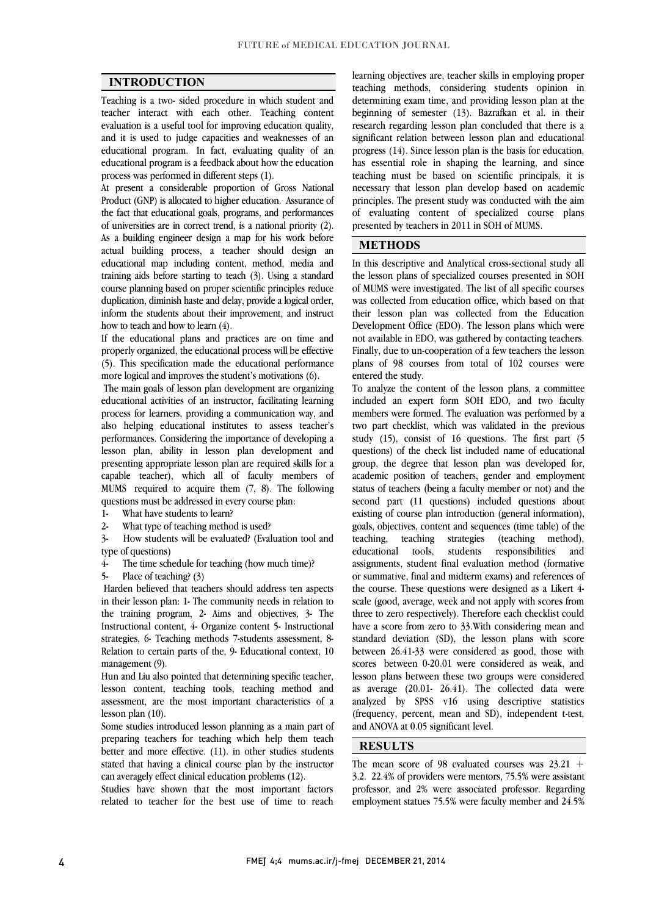$\overline{a}$  $\overline{a}$ 

## INTRODUCTION

 Teaching is a two- sided procedure in which student and teacher interact with each other. Teaching content and it is used to judge capacities and weaknesses of an educational program. In fact, evaluating quality of an educational program is a feedback about how the education evaluation is a useful tool for improving education quality, process was performed in different steps (1).

process was pertormed in different steps (1).<br>At present a considerable proportion of Gross National Product (GNP) is allocated to higher education. Assurance of the fact that educational goals, programs, and performances of universities are in correct trend, is a national priority (2). As a building engineer design a map for his work before educational map including content, method, media and training aids before starting to teach (3). Using a standard course planning based on proper scientific principles reduce duplication, diminish haste and delay, provide a logical order, inform the students about their improvement, and instruct how to teach and how to learn (4) actual building process, a teacher should design an how to teach and how to learn (4).

 If the educational plans and practices are on time and properly organized, the educational process will be effective (5). This specification made the educational performance<br>more locical and improves the student's metivations  $(f)$ . more logical and improves the student's motivations (6).

 The main goals of lesson plan development are organizing educational activities of an instructor, facilitating learning process for learners, providing a communication way, and performances. Considering the importance of developing a lesson plan, ability in lesson plan development and presenting appropriate lesson plan are required skills for a capable teacher), which all of faculty members of MUMS required to acquire them  $(7, 8)$ . The following questions must be addressed in every course plan: also helping educational institutes to assess teacher's questions must be addressed in every course plan:

1- What have students to learn?

2- What type of teaching method is used?

 $3-$  How students will be evaluated? (Evaluation tool and type of questions)

4- The time schedule for teaching (how much time)?

5- Place of teaching? (3)

 Harden believed that teachers should address ten aspects the training program, 2- Aims and objectives, 3- The Instructional content, 4- Organize content 5- Instructional strategies, 6- Teaching methods 7-students assessment, 8- Relation to certain parts of the, 9- Educational context, 10 in their lesson plan: 1- The community needs in relation to management (9).

management (9).<br>Hun and Liu also pointed that determining specific teacher, lesson content, teaching tools, teaching method and assessment, are the most important characteristics of a lesson plan (10).

preparing teachers for teaching which help them teach better and more effective.  $(11)$ . in other studies students stated that having a clinical course plan by the instructor Some studies introduced lesson planning as a main part of can averagely effect clinical education problems (12).

can averagely ettect clinical education problems (12).<br>Studies have shown that the most important factors related to teacher for the best use of time to reach

 teaching methods, considering students opinion in determining exam time, and providing lesson plan at the beginning of semester (13). Bazrafkan et al. in their significant relation between lesson plan and educational progress (14). Since lesson plan is the basis for education, has essential role in shaping the learning, and since teaching must be based on scientific principals, it is principles. The present study was conducted with the aim of evaluating content of specialized course plans learning objectives are, teacher skills in employing proper research regarding lesson plan concluded that there is a necessary that lesson plan develop based on academic presented by teachers in 2011 in SOH of MUMS.

## METHODS

 In this descriptive and Analytical cross-sectional study all the lesson plans of specialized courses presented in SOH of MUMS were investigated. The list of all specific courses was concered from education office, which based on that their lesson plan was collected from the Education Development Office (EDO). The lesson plans which were not available in EDO, was gathered by contacting teachers. Finally, due to un-cooperation of a few teachers the lesson plans of 98 courses from total of 102 courses were<br>entered the study was collected from education office, which based on that entered the study.

 To analyze the content of the lesson plans, a committee included an expert form SOH EDO, and two faculty members were formed. The evaluation was performed by a study (15), consist of 16 questions. The first part (5 questions) of the check list included name of educational group, the degree that lesson plan was developed for, academic position of teachers, gender and employment second part (11 questions) included questions about existing of course plan introduction (general information), goals, objectives, content and sequences (time table) of the teaching, teaching strategies (teaching method),<br>educational teals students responsibilities and assignments, student final evaluation method (formative or summative, final and midterm exams) and references of the course. These questions were designed as a Likert 4 state (good, average, week and not apply with scores none<br>three to zero respectively). Therefore each checklist could have a score from zero to 33. With considering mean and standard deviation (SD), the lesson plans with score between 26.41-33 were considered as good, those with lesson plans between these two groups were considered as average (20.01- 26.41). The collected data were analyzed by SPSS v16 using descriptive statistics (frequency, percent, mean and SD), independent t-test, l two part checklist, which was validated in the previous status of teachers (being a faculty member or not) and the educational tools, students responsibilities and scale (good, average, week and not apply with scores from scores between 0-20.01 were considered as weak, and and ANOVA at 0.05 significant level.

## **RESULTS**

The mean score of 98 evaluated courses was  $23.21 +$ 3.2. 22.4% of providers were mentors,  $75.5%$  were assistant employment statues 75.5% were faculty member and 24.5% professor, and 2% were associated professor. Regarding

 $\overline{a}$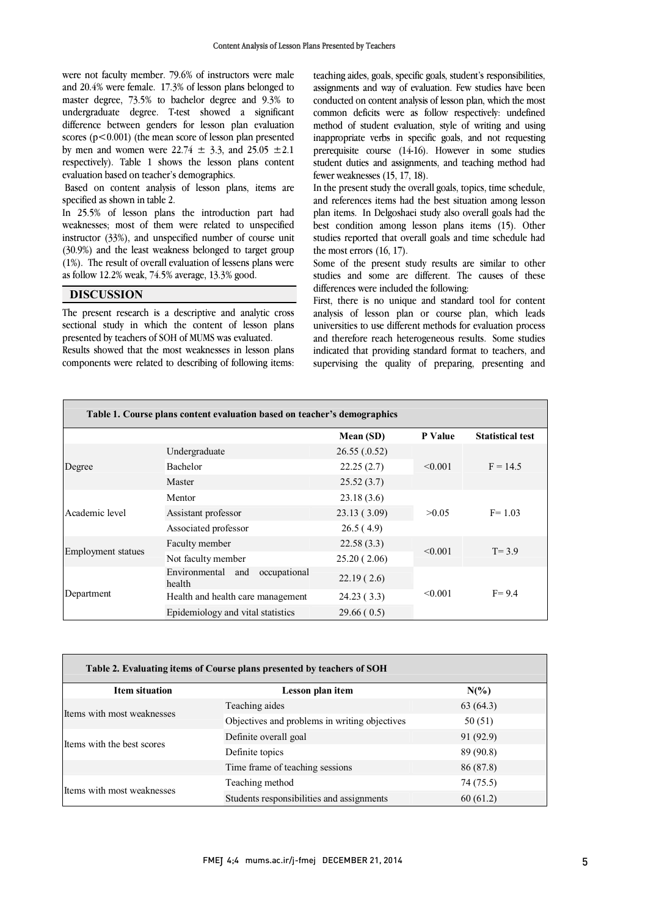were not faculty member. 79.6% of instructors were male and 20.4% were female. 17.3% of lesson plans belonged to master degree, 73.5% to bachelor degree and 9.3% to undergraduate degree. T-test showed a significant scores  $(p<0.001)$  (the mean score of lesson plan presented by men and women were  $22.74 \pm 3.3$ , and  $25.05 \pm 2.1$  respectively). Table 1 shows the lesson plans content difference between genders for lesson plan evaluation evaluation based on teacher's demographics.

Based on content analysis of lesson plans, items are<br>specified as shown in table 2 specified as shown in table 2.

 In 25.5% of lesson plans the introduction part had weaknesses; most of them were related to unspecified mstructor (35%), and unspectified number of course unit<br>(30.9%) and the least weakness belonged to target group  $(1%)$ . The result of overall evaluation of lessens plans were instructor (33%), and unspecified number of course unit as follow 12.2% weak, 74.5% average, 13.3% good.

DISCUSSION

 The present research is a descriptive and analytic cross sectional study in which the content of lesson plans presented by teachers of SOH of MUMS was evaluated.

 Results showed that the most weaknesses in lesson plans components were related to describing of following items:  teaching aides, goals, specific goals, student's responsibilities, assignments and way of evaluation. Few studies have been conducted on content analysis of lesson plan, which the most common deficits were as follow respectively: undefined incutod of statem evaluation, style of whing and using<br>inappropriate verbs in specific goals, and not requesting student duties and assignments, and teaching method had method of student evaluation, style of writing and using prerequisite course (14-16). However in some studies fewer weaknesses (15, 17, 18).

IEWET WEAKIIESSES (15, 17, 18).<br>In the present study the overall goals, topics, time schedule, and references items had the best situation among lesson plan items. In Delgoshaei study also overall goals had the best condition among lesson plans items (15). Other studies reported that overall goals and time schedule had<br>the meet cross  $(16, 17)$ the most errors (16, 17).

Some of the present study results are similar to other studies and some are different. The causes of these differences were included the following:

 analysis of lesson plan or course plan, which leads universities to use different methods for evaluation process and therefore reach heterogeneous results. Some studies indicated that providing standard format to teachers, and supervising the quality of preparing, presenting and First, there is no unique and standard tool for content

| Table 1. Course plans content evaluation based on teacher's demographics |                                                |              |                |                         |  |
|--------------------------------------------------------------------------|------------------------------------------------|--------------|----------------|-------------------------|--|
|                                                                          |                                                | Mean (SD)    | <b>P</b> Value | <b>Statistical test</b> |  |
| Degree                                                                   | Undergraduate                                  | 26.55(.0.52) |                | $F = 14.5$              |  |
|                                                                          | <b>Bachelor</b>                                | 22.25(2.7)   | < 0.001        |                         |  |
|                                                                          | Master                                         | 25.52(3.7)   |                |                         |  |
| Academic level                                                           | Mentor                                         | 23.18(3.6)   |                | $F = 1.03$              |  |
|                                                                          | Assistant professor                            | 23.13 (3.09) | >0.05          |                         |  |
|                                                                          | Associated professor                           | 26.5(4.9)    |                |                         |  |
| Faculty member<br>Employment statues<br>Not faculty member               |                                                | 22.58(3.3)   | < 0.001        | $T = 3.9$               |  |
|                                                                          |                                                | 25.20(2.06)  |                |                         |  |
| Department                                                               | Environmental<br>occupational<br>and<br>health | 22.19(2.6)   |                | $F = 9.4$               |  |
|                                                                          | Health and health care management              | 24.23(3.3)   | < 0.001        |                         |  |
|                                                                          | Epidemiology and vital statistics              | 29.66(0.5)   |                |                         |  |

٦

| Table 2. Evaluating items of Course plans presented by teachers of SOH |                                               |                 |  |  |  |
|------------------------------------------------------------------------|-----------------------------------------------|-----------------|--|--|--|
| <b>Item situation</b>                                                  | Lesson plan item                              | $N\binom{0}{0}$ |  |  |  |
| Items with most weaknesses                                             | Teaching aides                                | 63(64.3)        |  |  |  |
|                                                                        | Objectives and problems in writing objectives | 50 (51)         |  |  |  |
| Items with the best scores                                             | Definite overall goal                         | 91 (92.9)       |  |  |  |
|                                                                        | Definite topics                               | 89 (90.8)       |  |  |  |
|                                                                        | Time frame of teaching sessions               | 86 (87.8)       |  |  |  |
| Items with most weaknesses                                             | Teaching method                               | 74 (75.5)       |  |  |  |
|                                                                        | Students responsibilities and assignments     | 60(61.2)        |  |  |  |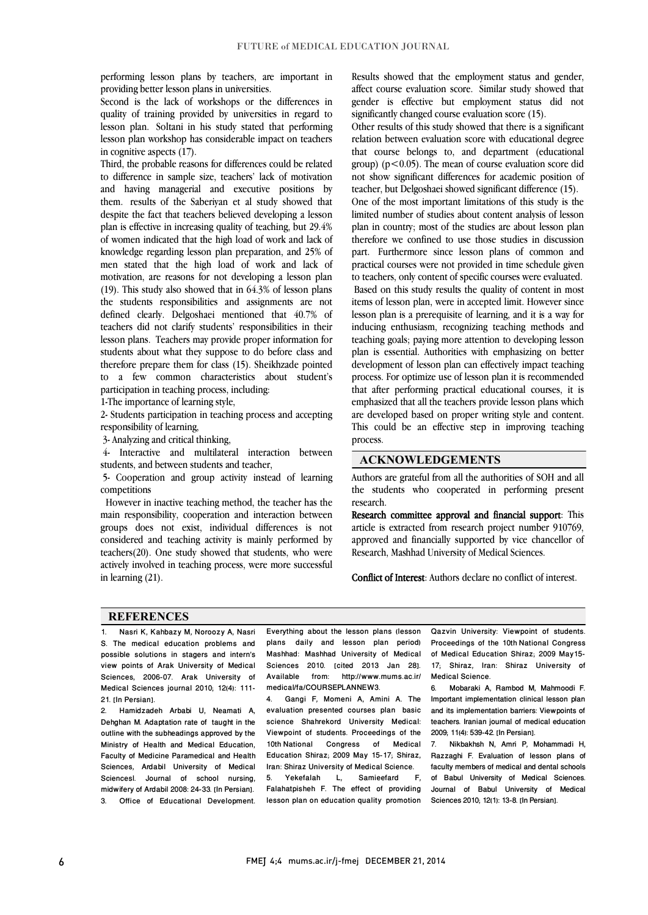performing lesson plans by teachers, are important in<br>providing better lesson plans in universities providing better lesson plans in universities.

 Second is the lack of workshops or the differences in quality of training provided by universities in regard to lesson plan. Soltani in his study stated that performing lesson plan workshop has considerable impact on teachers in cognitive aspects (17).

 Third, the probable reasons for differences could be related to difference in sample size, teachers' lack of motivation them. results of the Saberiyan et al study showed that despite the fact that teachers believed developing a lesson plan is effective in increasing quality of teaching, but 29.4% of women indicated that the high load of work and lack of men stated that the high load of work and lack of motivation, are reasons for not developing a lesson plan (19). This study also showed that in 64.3% of lesson plans the students responsibilities and assignments are not teachers did not clarify students' responsibilities in their lesson plans. Teachers may provide proper information for students about what they suppose to do before class and therefore prepare them for class (15). Sheikhzade pointed to a few common characteristics about student's<br>participation in teaching process including and having managerial and executive positions by knowledge regarding lesson plan preparation, and 25% of defined clearly. Delgoshaei mentioned that 40.7% of participation in teaching process, including:

1-The importance of learning style,

 2- Students participation in teaching process and accepting responsibility of learning,

3- Analyzing and critical thinking,

 4- Interactive and multilateral interaction between students, and between students and teacher,

 5- Cooperation and group activity instead of learning competitions

 However in inactive teaching method, the teacher has the main responsibility, cooperation and interaction between groups does not exist, individual differences is not considered and teaching activity is mainly performed by actively involved in teaching process, were more successful teachers(20). One study showed that students, who were in learning (21).

 Results showed that the employment status and gender, affect course evaluation score. Similar study showed that gender is effective but employment status did not significantly changed course evaluation score (15).

 Other results of this study showed that there is a significant that course belongs to, and department (educational group) (p<0.05). The mean of course evaluation score did not show significant differences for academic position of relation between evaluation score with educational degree teacher, but Delgoshaei showed significant difference (15).

 One of the most important limitations of this study is the limited number of studies about content analysis of lesson plan in country; most of the studies are about lesson plan therefore we confined to use those studies in discussion practical courses were not provided in time schedule given to teachers, only content of specific courses were evaluated. Based on this study results the quality of content in most items of lesson plan, were in accepted limit. However since inducing enthusiasm, recognizing teaching methods and teaching goals; paying more attention to developing lesson plan is essential. Authorities with emphasizing on better development of lesson plan can effectively impact teaching that after performing practical educational courses, it is emphasized that all the teachers provide lesson plans which are developed based on proper writing style and content. This could be an effective step in improving teaching L part. Furthermore since lesson plans of common and lesson plan is a prerequisite of learning, and it is a way for process. For optimize use of lesson plan it is recommended process.

### ACKNOWLEDGEMENTS

 Authors are grateful from all the authorities of SOH and all the students who cooperated in performing present research.

 Research committee approval and financial support: This article is extracted from research project number 910769, approved and financially supported by vice chancellor of Research, Mashhad University of Medical Sciences.

Conflict of Interest: Authors declare no conflict of interest.

#### **REFERENCES**

1. Nasri K, Kahbazy M, Noroozy A, Nasri S. The medical education problems and possible solutions in stagers and intern's view points of Arak University of Medical Sciences, 2006-07. Arak University of Medical Sciences journal 2010; 12(4): 111- 21. **[In Persian]** 

2. Hamidzadeh Arbabi U, Neamati A, Dehghan M. Adaptation rate of taught in the outline with the subheadings approved by the Ministry of Health and Medical Education, Faculty of Medicine Paramedical and Health Sciences, Ardabil University of Medical Sciencesl. Journal of school nursing, midwifery of Ardabil 2008: 24-33. [In Persian]. 3. Office of Educational Development.

 $\overline{a}$  plans daily and lesson plan period) Mashhad: Mashhad University of Medical Sciences 2010. [cited 2013 Jan 28].<br>Available from http://www.myra.ca.ir/ medical/fa/COURSEPLANNEW3. Everything about the lesson plans (lesson Available from: http://www.mums.ac.ir/

 $\overline{a}$ 

 4. Gangi F, Momeni A, Amini A. The science Shahrekord University Medical: Viewpoint of students. Proceedings of the 10th National Congress of Medical<br>Education Shires 2000 May 15, 17 Shires Iran: Shiraz University of Medical Science.  $-L$ evaluation presented courses plan basic Education Shiraz; 2009 May 15-17; Shiraz,

 lesson plan on education quality promotion 5. Yekefalah L, Samieefard F, Falahatpisheh F. The effect of providing

 $\overline{a}$  Proceedings of the 10th National Congress of Medical Education Shiraz; 2009 May15- 17; Shiraz, Iran: Shiraz University of Qazvin University: Viewpoint of students. Medical Science.

 $\overline{a}$ 

 $\overline{a}$ 

 6. Mobaraki A, Rambod M, Mahmoodi F. Important implementation clinical lesson plan teachers. Iranian journal of medical education and its implementation barriers: Viewpoints of 2009; 11(4): 539-42. [In Persian].

 7. Nikbakhsh N, Amri P, Mohammadi H, faculty members of medical and dental schools of Babul University of Medical Sciences. Journal of Babul University of Medical<br>Sciences 2010: 12(1): 13-8 (In-Persian) Razzaghi F. Evaluation of lesson plans of Sciences 2010; 12(1): 13-8. [In Persian].